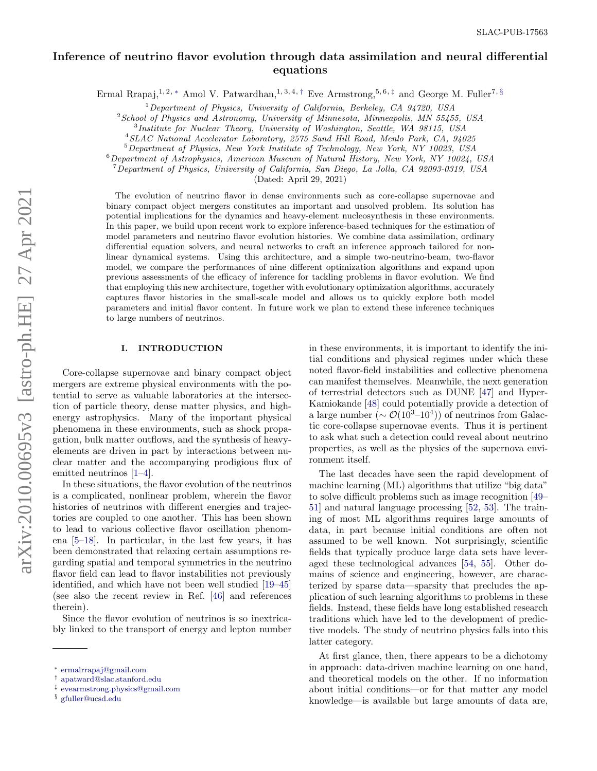# Inference of neutrino flavor evolution through data assimilation and neural differential equations

Ermal Rrapaj,<sup>1, 2, \*</sup> Amol V. Patwardhan,<sup>1, 3, 4, [†](#page-0-1)</sup> Eve Armstrong,<sup>5, 6, [‡](#page-0-2)</sup> and George M. Fuller<sup>7, [§](#page-0-3)</sup>

 $1$ Department of Physics, University of California, Berkeley, CA 94720, USA

 $2$ School of Physics and Astronomy, University of Minnesota, Minneapolis, MN 55455, USA

<sup>3</sup>Institute for Nuclear Theory, University of Washington, Seattle, WA 98115, USA

<sup>4</sup>SLAC National Accelerator Laboratory, 2575 Sand Hill Road, Menlo Park, CA, 94025

<sup>5</sup>Department of Physics, New York Institute of Technology, New York, NY 10023, USA

 $6$ Department of Astrophysics, American Museum of Natural History, New York, NY 10024, USA

<sup>7</sup>Department of Physics, University of California, San Diego, La Jolla, CA 92093-0319, USA

(Dated: April 29, 2021)

The evolution of neutrino flavor in dense environments such as core-collapse supernovae and binary compact object mergers constitutes an important and unsolved problem. Its solution has potential implications for the dynamics and heavy-element nucleosynthesis in these environments. In this paper, we build upon recent work to explore inference-based techniques for the estimation of model parameters and neutrino flavor evolution histories. We combine data assimilation, ordinary differential equation solvers, and neural networks to craft an inference approach tailored for nonlinear dynamical systems. Using this architecture, and a simple two-neutrino-beam, two-flavor model, we compare the performances of nine different optimization algorithms and expand upon previous assessments of the efficacy of inference for tackling problems in flavor evolution. We find that employing this new architecture, together with evolutionary optimization algorithms, accurately captures flavor histories in the small-scale model and allows us to quickly explore both model parameters and initial flavor content. In future work we plan to extend these inference techniques to large numbers of neutrinos.

# I. INTRODUCTION

Core-collapse supernovae and binary compact object mergers are extreme physical environments with the potential to serve as valuable laboratories at the intersection of particle theory, dense matter physics, and highenergy astrophysics. Many of the important physical phenomena in these environments, such as shock propagation, bulk matter outflows, and the synthesis of heavyelements are driven in part by interactions between nuclear matter and the accompanying prodigious flux of emitted neutrinos [\[1–](#page-11-0)[4\]](#page-11-1).

In these situations, the flavor evolution of the neutrinos is a complicated, nonlinear problem, wherein the flavor histories of neutrinos with different energies and trajectories are coupled to one another. This has been shown to lead to various collective flavor oscillation phenomena [\[5](#page-11-2)[–18\]](#page-11-3). In particular, in the last few years, it has been demonstrated that relaxing certain assumptions regarding spatial and temporal symmetries in the neutrino flavor field can lead to flavor instabilities not previously identified, and which have not been well studied [\[19](#page-11-4)[–45\]](#page-12-0) (see also the recent review in Ref. [\[46\]](#page-12-1) and references therein).

Since the flavor evolution of neutrinos is so inextricably linked to the transport of energy and lepton number in these environments, it is important to identify the initial conditions and physical regimes under which these noted flavor-field instabilities and collective phenomena can manifest themselves. Meanwhile, the next generation of terrestrial detectors such as DUNE [\[47\]](#page-12-2) and Hyper-Kamiokande [\[48\]](#page-12-3) could potentially provide a detection of a large number  $(\sim \mathcal{O}(10^3 - 10^4))$  of neutrinos from Galactic core-collapse supernovae events. Thus it is pertinent to ask what such a detection could reveal about neutrino properties, as well as the physics of the supernova environment itself.

The last decades have seen the rapid development of machine learning (ML) algorithms that utilize "big data" to solve difficult problems such as image recognition [\[49–](#page-12-4) [51\]](#page-12-5) and natural language processing [\[52,](#page-12-6) [53\]](#page-12-7). The training of most ML algorithms requires large amounts of data, in part because initial conditions are often not assumed to be well known. Not surprisingly, scientific fields that typically produce large data sets have leveraged these technological advances [\[54,](#page-12-8) [55\]](#page-12-9). Other domains of science and engineering, however, are characterized by sparse data—sparsity that precludes the application of such learning algorithms to problems in these fields. Instead, these fields have long established research traditions which have led to the development of predictive models. The study of neutrino physics falls into this latter category.

At first glance, then, there appears to be a dichotomy in approach: data-driven machine learning on one hand, and theoretical models on the other. If no information about initial conditions—or for that matter any model knowledge—is available but large amounts of data are,

<span id="page-0-0"></span><sup>∗</sup> [ermalrrapaj@gmail.com](mailto:ermalrrapaj@gmail.com)

<span id="page-0-1"></span><sup>†</sup> [apatward@slac.stanford.edu](mailto:apatward@slac.stanford.edu)

<span id="page-0-2"></span><sup>‡</sup> [evearmstrong.physics@gmail.com](mailto:evearmstrong.physics@gmail.com)

<span id="page-0-3"></span><sup>§</sup> [gfuller@ucsd.edu](mailto:gfuller@ucsd.edu)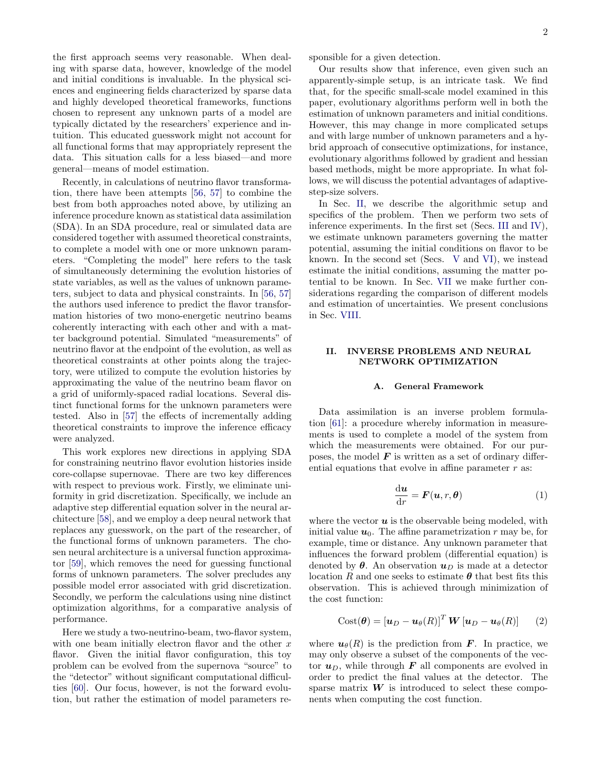the first approach seems very reasonable. When dealing with sparse data, however, knowledge of the model and initial conditions is invaluable. In the physical sciences and engineering fields characterized by sparse data and highly developed theoretical frameworks, functions chosen to represent any unknown parts of a model are typically dictated by the researchers' experience and intuition. This educated guesswork might not account for all functional forms that may appropriately represent the data. This situation calls for a less biased—and more general—means of model estimation.

Recently, in calculations of neutrino flavor transformation, there have been attempts [\[56,](#page-12-10) [57\]](#page-12-11) to combine the best from both approaches noted above, by utilizing an inference procedure known as statistical data assimilation (SDA). In an SDA procedure, real or simulated data are considered together with assumed theoretical constraints, to complete a model with one or more unknown parameters. "Completing the model" here refers to the task of simultaneously determining the evolution histories of state variables, as well as the values of unknown parameters, subject to data and physical constraints. In [\[56,](#page-12-10) [57\]](#page-12-11) the authors used inference to predict the flavor transformation histories of two mono-energetic neutrino beams coherently interacting with each other and with a matter background potential. Simulated "measurements" of neutrino flavor at the endpoint of the evolution, as well as theoretical constraints at other points along the trajectory, were utilized to compute the evolution histories by approximating the value of the neutrino beam flavor on a grid of uniformly-spaced radial locations. Several distinct functional forms for the unknown parameters were tested. Also in [\[57\]](#page-12-11) the effects of incrementally adding theoretical constraints to improve the inference efficacy were analyzed.

This work explores new directions in applying SDA for constraining neutrino flavor evolution histories inside core-collapse supernovae. There are two key differences with respect to previous work. Firstly, we eliminate uniformity in grid discretization. Specifically, we include an adaptive step differential equation solver in the neural architecture [\[58\]](#page-12-12), and we employ a deep neural network that replaces any guesswork, on the part of the researcher, of the functional forms of unknown parameters. The chosen neural architecture is a universal function approximator [\[59\]](#page-12-13), which removes the need for guessing functional forms of unknown parameters. The solver precludes any possible model error associated with grid discretization. Secondly, we perform the calculations using nine distinct optimization algorithms, for a comparative analysis of performance.

Here we study a two-neutrino-beam, two-flavor system, with one beam initially electron flavor and the other  $x$ flavor. Given the initial flavor configuration, this toy problem can be evolved from the supernova "source" to the "detector" without significant computational difficulties [\[60\]](#page-12-14). Our focus, however, is not the forward evolution, but rather the estimation of model parameters re2

sponsible for a given detection.

Our results show that inference, even given such an apparently-simple setup, is an intricate task. We find that, for the specific small-scale model examined in this paper, evolutionary algorithms perform well in both the estimation of unknown parameters and initial conditions. However, this may change in more complicated setups and with large number of unknown parameters and a hybrid approach of consecutive optimizations, for instance, evolutionary algorithms followed by gradient and hessian based methods, might be more appropriate. In what follows, we will discuss the potential advantages of adaptivestep-size solvers.

In Sec. [II,](#page-1-0) we describe the algorithmic setup and specifics of the problem. Then we perform two sets of inference experiments. In the first set (Secs. [III](#page-4-0) and [IV\)](#page-5-0), we estimate unknown parameters governing the matter potential, assuming the initial conditions on flavor to be known. In the second set (Secs. [V](#page-7-0) and [VI\)](#page-8-0), we instead estimate the initial conditions, assuming the matter potential to be known. In Sec. [VII](#page-8-1) we make further considerations regarding the comparison of different models and estimation of uncertainties. We present conclusions in Sec. [VIII.](#page-9-0)

# <span id="page-1-0"></span>II. INVERSE PROBLEMS AND NEURAL NETWORK OPTIMIZATION

#### A. General Framework

Data assimilation is an inverse problem formulation [\[61\]](#page-13-0): a procedure whereby information in measurements is used to complete a model of the system from which the measurements were obtained. For our purposes, the model  $\boldsymbol{F}$  is written as a set of ordinary differential equations that evolve in affine parameter  $r$  as:

<span id="page-1-1"></span>
$$
\frac{\mathrm{d}\boldsymbol{u}}{\mathrm{d}r} = \boldsymbol{F}(\boldsymbol{u},r,\boldsymbol{\theta})\tag{1}
$$

where the vector  $\boldsymbol{u}$  is the observable being modeled, with initial value  $u_0$ . The affine parametrization r may be, for example, time or distance. Any unknown parameter that influences the forward problem (differential equation) is denoted by  $\theta$ . An observation  $u_D$  is made at a detector location R and one seeks to estimate  $\theta$  that best fits this observation. This is achieved through minimization of the cost function:

<span id="page-1-2"></span>
$$
Cost(\boldsymbol{\theta}) = \left[\boldsymbol{u}_D - \boldsymbol{u}_\theta(R)\right]^T \boldsymbol{W} \left[\boldsymbol{u}_D - \boldsymbol{u}_\theta(R)\right] \qquad (2)
$$

where  $u_{\theta}(R)$  is the prediction from **F**. In practice, we may only observe a subset of the components of the vector  $u_D$ , while through  $\bm{F}$  all components are evolved in order to predict the final values at the detector. The sparse matrix  $W$  is introduced to select these components when computing the cost function.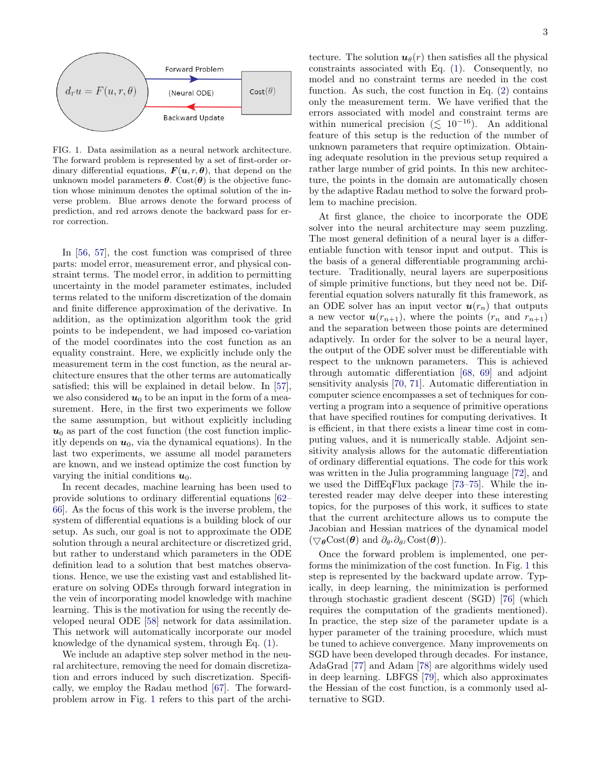

<span id="page-2-0"></span>FIG. 1. Data assimilation as a neural network architecture. The forward problem is represented by a set of first-order ordinary differential equations,  $\mathbf{F}(\mathbf{u}, r, \boldsymbol{\theta})$ , that depend on the unknown model parameters  $\boldsymbol{\theta}$ . Cost( $\boldsymbol{\theta}$ ) is the objective function whose minimum denotes the optimal solution of the inverse problem. Blue arrows denote the forward process of prediction, and red arrows denote the backward pass for error correction.

In [\[56,](#page-12-10) [57\]](#page-12-11), the cost function was comprised of three parts: model error, measurement error, and physical constraint terms. The model error, in addition to permitting uncertainty in the model parameter estimates, included terms related to the uniform discretization of the domain and finite difference approximation of the derivative. In addition, as the optimization algorithm took the grid points to be independent, we had imposed co-variation of the model coordinates into the cost function as an equality constraint. Here, we explicitly include only the measurement term in the cost function, as the neural architecture ensures that the other terms are automatically satisfied; this will be explained in detail below. In [\[57\]](#page-12-11), we also considered  $u_0$  to be an input in the form of a measurement. Here, in the first two experiments we follow the same assumption, but without explicitly including  $u_0$  as part of the cost function (the cost function implicitly depends on  $u_0$ , via the dynamical equations). In the last two experiments, we assume all model parameters are known, and we instead optimize the cost function by varying the initial conditions  $u_0$ .

In recent decades, machine learning has been used to provide solutions to ordinary differential equations [\[62–](#page-13-1) [66\]](#page-13-2). As the focus of this work is the inverse problem, the system of differential equations is a building block of our setup. As such, our goal is not to approximate the ODE solution through a neural architecture or discretized grid, but rather to understand which parameters in the ODE definition lead to a solution that best matches observations. Hence, we use the existing vast and established literature on solving ODEs through forward integration in the vein of incorporating model knowledge with machine learning. This is the motivation for using the recently developed neural ODE [\[58\]](#page-12-12) network for data assimilation. This network will automatically incorporate our model knowledge of the dynamical system, through Eq. [\(1\)](#page-1-1).

We include an adaptive step solver method in the neural architecture, removing the need for domain discretization and errors induced by such discretization. Specifically, we employ the Radau method [\[67\]](#page-13-3). The forwardproblem arrow in Fig. [1](#page-2-0) refers to this part of the archi-

tecture. The solution  $u_{\theta}(r)$  then satisfies all the physical constraints associated with Eq. [\(1\)](#page-1-1). Consequently, no model and no constraint terms are needed in the cost function. As such, the cost function in Eq.  $(2)$  contains only the measurement term. We have verified that the errors associated with model and constraint terms are within numerical precision ( $\lesssim 10^{-16}$ ). An additional feature of this setup is the reduction of the number of unknown parameters that require optimization. Obtaining adequate resolution in the previous setup required a rather large number of grid points. In this new architecture, the points in the domain are automatically chosen by the adaptive Radau method to solve the forward problem to machine precision.

At first glance, the choice to incorporate the ODE solver into the neural architecture may seem puzzling. The most general definition of a neural layer is a differentiable function with tensor input and output. This is the basis of a general differentiable programming architecture. Traditionally, neural layers are superpositions of simple primitive functions, but they need not be. Differential equation solvers naturally fit this framework, as an ODE solver has an input vector  $u(r_n)$  that outputs a new vector  $u(r_{n+1})$ , where the points  $(r_n$  and  $r_{n+1})$ and the separation between those points are determined adaptively. In order for the solver to be a neural layer, the output of the ODE solver must be differentiable with respect to the unknown parameters. This is achieved through automatic differentiation [\[68,](#page-13-4) [69\]](#page-13-5) and adjoint sensitivity analysis [\[70,](#page-13-6) [71\]](#page-13-7). Automatic differentiation in computer science encompasses a set of techniques for converting a program into a sequence of primitive operations that have specified routines for computing derivatives. It is efficient, in that there exists a linear time cost in computing values, and it is numerically stable. Adjoint sensitivity analysis allows for the automatic differentiation of ordinary differential equations. The code for this work was written in the Julia programming language [\[72\]](#page-13-8), and we used the DiffEqFlux package [\[73](#page-13-9)[–75\]](#page-13-10). While the interested reader may delve deeper into these interesting topics, for the purposes of this work, it suffices to state that the current architecture allows us to compute the Jacobian and Hessian matrices of the dynamical model  $(\nabla_{\theta} \text{Cost}(\theta) \text{ and } \partial_{\theta} \partial_{\theta} \text{Cost}(\theta)).$ 

Once the forward problem is implemented, one performs the minimization of the cost function. In Fig. [1](#page-2-0) this step is represented by the backward update arrow. Typically, in deep learning, the minimization is performed through stochastic gradient descent (SGD) [\[76\]](#page-13-11) (which requires the computation of the gradients mentioned). In practice, the step size of the parameter update is a hyper parameter of the training procedure, which must be tuned to achieve convergence. Many improvements on SGD have been developed through decades. For instance, AdaGrad [\[77\]](#page-13-12) and Adam [\[78\]](#page-13-13) are algorithms widely used in deep learning. LBFGS [\[79\]](#page-13-14), which also approximates the Hessian of the cost function, is a commonly used alternative to SGD.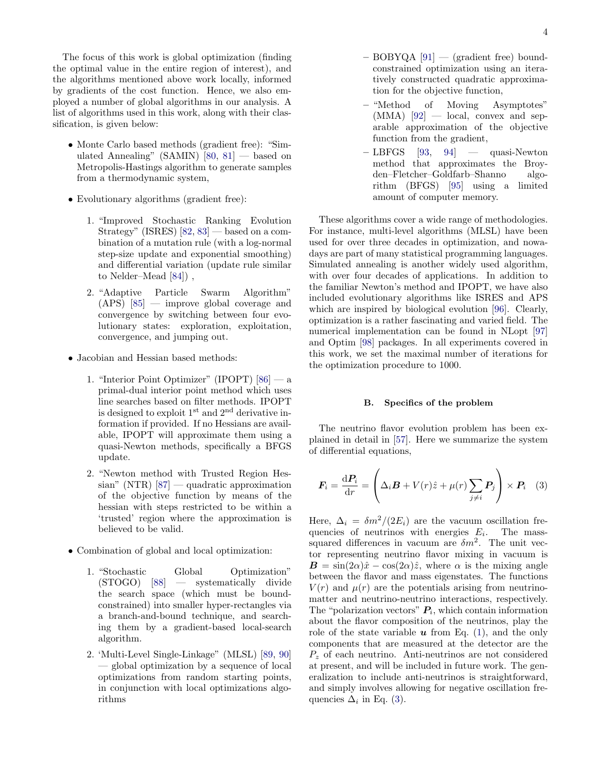The focus of this work is global optimization (finding the optimal value in the entire region of interest), and the algorithms mentioned above work locally, informed by gradients of the cost function. Hence, we also employed a number of global algorithms in our analysis. A list of algorithms used in this work, along with their classification, is given below:

- Monte Carlo based methods (gradient free): "Simulated Annealing" (SAMIN)  $[80, 81]$  $[80, 81]$  $[80, 81]$  — based on Metropolis-Hastings algorithm to generate samples from a thermodynamic system,
- Evolutionary algorithms (gradient free):
	- 1. "Improved Stochastic Ranking Evolution Strategy" (ISRES) [\[82,](#page-13-17) [83\]](#page-13-18) — based on a combination of a mutation rule (with a log-normal step-size update and exponential smoothing) and differential variation (update rule similar to Nelder–Mead [\[84\]](#page-13-19)) ,
	- 2. "Adaptive Particle Swarm Algorithm" (APS) [\[85\]](#page-13-20) — improve global coverage and convergence by switching between four evolutionary states: exploration, exploitation, convergence, and jumping out.
- Jacobian and Hessian based methods:
	- 1. "Interior Point Optimizer" (IPOPT) [\[86\]](#page-13-21) a primal-dual interior point method which uses line searches based on filter methods. IPOPT is designed to exploit 1st and 2nd derivative information if provided. If no Hessians are available, IPOPT will approximate them using a quasi-Newton methods, specifically a BFGS update.
	- 2. "Newton method with Trusted Region Hessian" (NTR)  $[87]$  — quadratic approximation of the objective function by means of the hessian with steps restricted to be within a 'trusted' region where the approximation is believed to be valid.
- Combination of global and local optimization:
	- 1. "Stochastic Global Optimization" (STOGO) [\[88\]](#page-13-23) — systematically divide the search space (which must be boundconstrained) into smaller hyper-rectangles via a branch-and-bound technique, and searching them by a gradient-based local-search algorithm.
	- 2. 'Multi-Level Single-Linkage" (MLSL) [\[89,](#page-13-24) [90\]](#page-13-25) — global optimization by a sequence of local optimizations from random starting points, in conjunction with local optimizations algorithms
- $-$  BOBYQA  $[91]$  (gradient free) boundconstrained optimization using an iteratively constructed quadratic approximation for the objective function,
- "Method of Moving Asymptotes"  $(MMA)$  [\[92\]](#page-13-27) — local, convex and separable approximation of the objective function from the gradient,
- $-$  LBFGS [\[93,](#page-13-28) [94\]](#page-13-29)  $-$  quasi-Newton method that approximates the Broyden–Fletcher–Goldfarb–Shanno algorithm (BFGS) [\[95\]](#page-14-0) using a limited amount of computer memory.

These algorithms cover a wide range of methodologies. For instance, multi-level algorithms (MLSL) have been used for over three decades in optimization, and nowadays are part of many statistical programming languages. Simulated annealing is another widely used algorithm, with over four decades of applications. In addition to the familiar Newton's method and IPOPT, we have also included evolutionary algorithms like ISRES and APS which are inspired by biological evolution [\[96\]](#page-14-1). Clearly, optimization is a rather fascinating and varied field. The numerical implementation can be found in NLopt [\[97\]](#page-14-2) and Optim [\[98\]](#page-14-3) packages. In all experiments covered in this work, we set the maximal number of iterations for the optimization procedure to 1000.

#### B. Specifics of the problem

The neutrino flavor evolution problem has been explained in detail in [\[57\]](#page-12-11). Here we summarize the system of differential equations,

<span id="page-3-0"></span>
$$
\boldsymbol{F}_i = \frac{\mathrm{d}\boldsymbol{P}_i}{\mathrm{d}r} = \left(\Delta_i \boldsymbol{B} + V(r)\hat{z} + \mu(r)\sum_{j \neq i} \boldsymbol{P}_j\right) \times \boldsymbol{P}_i \quad (3)
$$

Here,  $\Delta_i = \delta m^2/(2E_i)$  are the vacuum oscillation frequencies of neutrinos with energies  $E_i$ . The masssquared differences in vacuum are  $\delta m^2$ . The unit vector representing neutrino flavor mixing in vacuum is  $\mathbf{B} = \sin(2\alpha)\hat{x} - \cos(2\alpha)\hat{z}$ , where  $\alpha$  is the mixing angle between the flavor and mass eigenstates. The functions  $V(r)$  and  $\mu(r)$  are the potentials arising from neutrinomatter and neutrino-neutrino interactions, respectively. The "polarization vectors"  $P_i$ , which contain information about the flavor composition of the neutrinos, play the role of the state variable  $u$  from Eq. [\(1\)](#page-1-1), and the only components that are measured at the detector are the  $P<sub>z</sub>$  of each neutrino. Anti-neutrinos are not considered at present, and will be included in future work. The generalization to include anti-neutrinos is straightforward, and simply involves allowing for negative oscillation frequencies  $\Delta_i$  in Eq. [\(3\)](#page-3-0).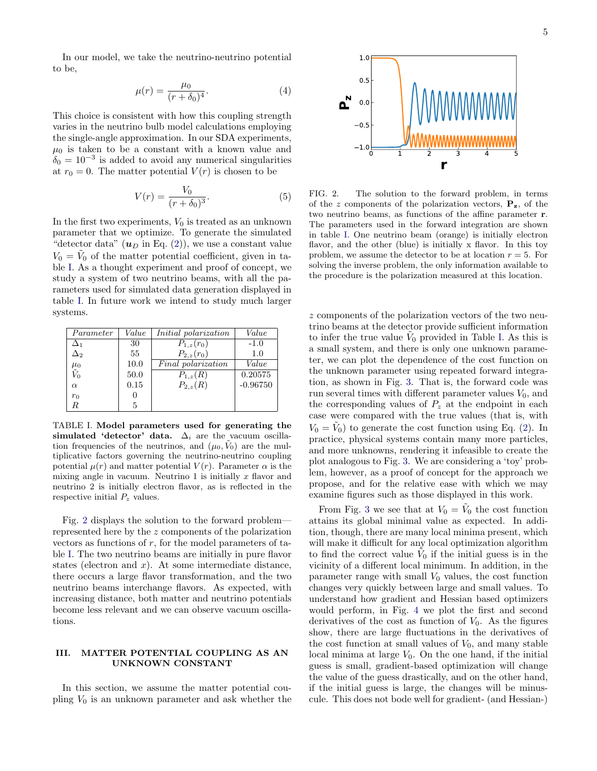In our model, we take the neutrino-neutrino potential to be,

$$
\mu(r) = \frac{\mu_0}{(r + \delta_0)^4}.
$$
\n(4)

This choice is consistent with how this coupling strength varies in the neutrino bulb model calculations employing the single-angle approximation. In our SDA experiments,  $\mu_0$  is taken to be a constant with a known value and  $\delta_0 = 10^{-3}$  is added to avoid any numerical singularities at  $r_0 = 0$ . The matter potential  $V(r)$  is chosen to be

<span id="page-4-3"></span>
$$
V(r) = \frac{V_0}{(r + \delta_0)^3}.
$$
 (5)

In the first two experiments,  $V_0$  is treated as an unknown parameter that we optimize. To generate the simulated "detector data"  $(u_D \text{ in Eq. (2)}),$  $(u_D \text{ in Eq. (2)}),$  $(u_D \text{ in Eq. (2)}),$  we use a constant value  $V_0 = \tilde{V}_0$  of the matter potential coefficient, given in table [I.](#page-4-1) As a thought experiment and proof of concept, we study a system of two neutrino beams, with all the parameters used for simulated data generation displayed in table [I.](#page-4-1) In future work we intend to study much larger systems.

| Parameter           | Value | <i>Initial polarization</i> | Value      |
|---------------------|-------|-----------------------------|------------|
| $\Delta_1$          | 30    | $P_{1,z}(r_0)$              | $-1.0$     |
| $\Delta_2$          | 55    | $P_{2,z}(r_0)$              | 1.0        |
| $\mu_0 \tilde{V}_0$ | 10.0  | Final polarization          | Value      |
|                     | 50.0  | $P_{1,z}(R)$                | 0.20575    |
| $\alpha$            | 0.15  | $P_{2,z}(R)$                | $-0.96750$ |
| $r_0$               | O     |                             |            |
| R                   | 5     |                             |            |

<span id="page-4-1"></span>TABLE I. Model parameters used for generating the simulated 'detector' data.  $\Delta_i$  are the vacuum oscillation frequencies of the neutrinos, and  $(\mu_0, V_0)$  are the multiplicative factors governing the neutrino-neutrino coupling potential  $\mu(r)$  and matter potential  $V(r)$ . Parameter  $\alpha$  is the mixing angle in vacuum. Neutrino 1 is initially  $x$  flavor and neutrino 2 is initially electron flavor, as is reflected in the respective initial  $P_z$  values.

Fig. [2](#page-4-2) displays the solution to the forward problem represented here by the z components of the polarization vectors as functions of  $r$ , for the model parameters of table [I.](#page-4-1) The two neutrino beams are initially in pure flavor states (electron and  $x$ ). At some intermediate distance, there occurs a large flavor transformation, and the two neutrino beams interchange flavors. As expected, with increasing distance, both matter and neutrino potentials become less relevant and we can observe vacuum oscillations.

### <span id="page-4-0"></span>III. MATTER POTENTIAL COUPLING AS AN UNKNOWN CONSTANT

In this section, we assume the matter potential coupling  $V_0$  is an unknown parameter and ask whether the



<span id="page-4-2"></span>FIG. 2. The solution to the forward problem, in terms of the z components of the polarization vectors,  $P_z$ , of the two neutrino beams, as functions of the affine parameter r. The parameters used in the forward integration are shown in table [I.](#page-4-1) One neutrino beam (orange) is initially electron flavor, and the other (blue) is initially x flavor. In this toy problem, we assume the detector to be at location  $r = 5$ . For solving the inverse problem, the only information available to the procedure is the polarization measured at this location.

z components of the polarization vectors of the two neutrino beams at the detector provide sufficient information to infer the true value  $\tilde{V}_0$  provided in Table [I.](#page-4-1) As this is a small system, and there is only one unknown parameter, we can plot the dependence of the cost function on the unknown parameter using repeated forward integration, as shown in Fig. [3.](#page-5-1) That is, the forward code was run several times with different parameter values  $V_0$ , and the corresponding values of  $P_z$  at the endpoint in each case were compared with the true values (that is, with  $V_0 = \tilde{V}_0$  to generate the cost function using Eq. [\(2\)](#page-1-2). In practice, physical systems contain many more particles, and more unknowns, rendering it infeasible to create the plot analogous to Fig. [3.](#page-5-1) We are considering a 'toy' problem, however, as a proof of concept for the approach we propose, and for the relative ease with which we may examine figures such as those displayed in this work.

From Fig. [3](#page-5-1) we see that at  $V_0 = \tilde{V}_0$  the cost function attains its global minimal value as expected. In addition, though, there are many local minima present, which will make it difficult for any local optimization algorithm to find the correct value  $\tilde{V}_0$  if the initial guess is in the vicinity of a different local minimum. In addition, in the parameter range with small  $V_0$  values, the cost function changes very quickly between large and small values. To understand how gradient and Hessian based optimizers would perform, in Fig. [4](#page-5-2) we plot the first and second derivatives of the cost as function of  $V_0$ . As the figures show, there are large fluctuations in the derivatives of the cost function at small values of  $V_0$ , and many stable local minima at large  $V_0$ . On the one hand, if the initial guess is small, gradient-based optimization will change the value of the guess drastically, and on the other hand, if the initial guess is large, the changes will be minuscule. This does not bode well for gradient- (and Hessian-)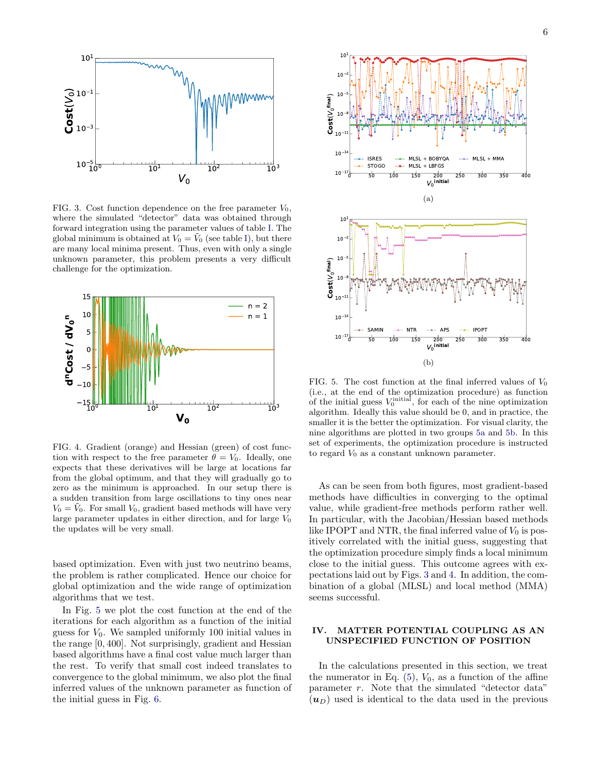

<span id="page-5-1"></span>FIG. 3. Cost function dependence on the free parameter  $V_0$ , where the simulated "detector" data was obtained through forward integration using the parameter values of table [I.](#page-4-1) The global minimum is obtained at  $V_0 = V_0$  (see table [I\)](#page-4-1), but there are many local minima present. Thus, even with only a single unknown parameter, this problem presents a very difficult challenge for the optimization.



<span id="page-5-2"></span>FIG. 4. Gradient (orange) and Hessian (green) of cost function with respect to the free parameter  $\theta = V_0$ . Ideally, one expects that these derivatives will be large at locations far from the global optimum, and that they will gradually go to zero as the minimum is approached. In our setup there is a sudden transition from large oscillations to tiny ones near  $V_0 = V_0$ . For small  $V_0$ , gradient based methods will have very large parameter updates in either direction, and for large  $V_0$ the updates will be very small.

based optimization. Even with just two neutrino beams, the problem is rather complicated. Hence our choice for global optimization and the wide range of optimization algorithms that we test.

In Fig. [5](#page-5-3) we plot the cost function at the end of the iterations for each algorithm as a function of the initial guess for  $V_0$ . We sampled uniformly 100 initial values in the range [0, 400]. Not surprisingly, gradient and Hessian based algorithms have a final cost value much larger than the rest. To verify that small cost indeed translates to convergence to the global minimum, we also plot the final inferred values of the unknown parameter as function of the initial guess in Fig. [6.](#page-6-0)

<span id="page-5-5"></span><span id="page-5-4"></span>

<span id="page-5-3"></span>FIG. 5. The cost function at the final inferred values of  $V_0$ (i.e., at the end of the optimization procedure) as function of the initial guess  $V_0^{\text{initial}}$ , for each of the nine optimization algorithm. Ideally this value should be 0, and in practice, the smaller it is the better the optimization. For visual clarity, the nine algorithms are plotted in two groups [5a](#page-5-4) and [5b.](#page-5-5) In this set of experiments, the optimization procedure is instructed to regard  $V_0$  as a constant unknown parameter.

As can be seen from both figures, most gradient-based methods have difficulties in converging to the optimal value, while gradient-free methods perform rather well. In particular, with the Jacobian/Hessian based methods like IPOPT and NTR, the final inferred value of  $V_0$  is positively correlated with the initial guess, suggesting that the optimization procedure simply finds a local minimum close to the initial guess. This outcome agrees with expectations laid out by Figs. [3](#page-5-1) and [4.](#page-5-2) In addition, the combination of a global (MLSL) and local method (MMA) seems successful.

# <span id="page-5-0"></span>IV. MATTER POTENTIAL COUPLING AS AN UNSPECIFIED FUNCTION OF POSITION

In the calculations presented in this section, we treat the numerator in Eq.  $(5)$ ,  $V_0$ , as a function of the affine parameter r. Note that the simulated "detector data"  $(u_D)$  used is identical to the data used in the previous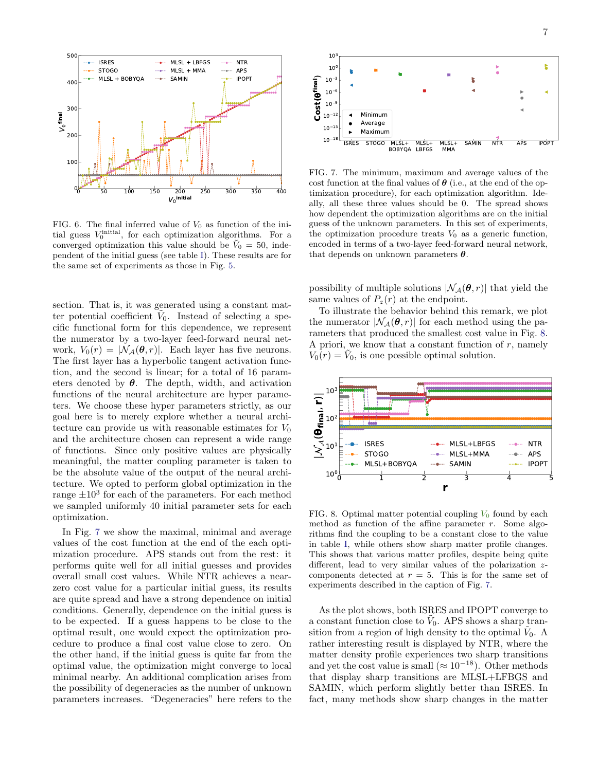

<span id="page-6-0"></span>FIG. 6. The final inferred value of  $V_0$  as function of the initial guess  $V_0^{\text{initial}}$ , for each optimization algorithms. For a converged optimization this value should be  $\tilde{V}_0 = 50$ , independent of the initial guess (see table [I\)](#page-4-1). These results are for the same set of experiments as those in Fig. [5.](#page-5-3)

section. That is, it was generated using a constant matter potential coefficient  $V_0$ . Instead of selecting a specific functional form for this dependence, we represent the numerator by a two-layer feed-forward neural network,  $V_0(r) = |\mathcal{N}_{\mathcal{A}}(\boldsymbol{\theta}, r)|$ . Each layer has five neurons. The first layer has a hyperbolic tangent activation function, and the second is linear; for a total of 16 parameters denoted by  $\theta$ . The depth, width, and activation functions of the neural architecture are hyper parameters. We choose these hyper parameters strictly, as our goal here is to merely explore whether a neural architecture can provide us with reasonable estimates for  $V_0$ and the architecture chosen can represent a wide range of functions. Since only positive values are physically meaningful, the matter coupling parameter is taken to be the absolute value of the output of the neural architecture. We opted to perform global optimization in the range  $\pm 10^3$  for each of the parameters. For each method we sampled uniformly 40 initial parameter sets for each optimization.

In Fig. [7](#page-6-1) we show the maximal, minimal and average values of the cost function at the end of the each optimization procedure. APS stands out from the rest: it performs quite well for all initial guesses and provides overall small cost values. While NTR achieves a nearzero cost value for a particular initial guess, its results are quite spread and have a strong dependence on initial conditions. Generally, dependence on the initial guess is to be expected. If a guess happens to be close to the optimal result, one would expect the optimization procedure to produce a final cost value close to zero. On the other hand, if the initial guess is quite far from the optimal value, the optimization might converge to local minimal nearby. An additional complication arises from the possibility of degeneracies as the number of unknown parameters increases. "Degeneracies" here refers to the



<span id="page-6-1"></span>FIG. 7. The minimum, maximum and average values of the cost function at the final values of  $\theta$  (i.e., at the end of the optimization procedure), for each optimization algorithm. Ideally, all these three values should be 0. The spread shows how dependent the optimization algorithms are on the initial guess of the unknown parameters. In this set of experiments, the optimization procedure treats  $V_0$  as a generic function, encoded in terms of a two-layer feed-forward neural network, that depends on unknown parameters  $\theta$ .

possibility of multiple solutions  $|\mathcal{N}_{\mathcal{A}}(\boldsymbol{\theta}, r)|$  that yield the same values of  $P_z(r)$  at the endpoint.

To illustrate the behavior behind this remark, we plot the numerator  $|\mathcal{N}_{\mathcal{A}}(\boldsymbol{\theta}, r)|$  for each method using the parameters that produced the smallest cost value in Fig. [8.](#page-6-2) A priori, we know that a constant function of  $r$ , namely  $V_0(r) = V_0$ , is one possible optimal solution.



<span id="page-6-2"></span>FIG. 8. Optimal matter potential coupling  $V_0$  found by each method as function of the affine parameter  $r$ . Some algorithms find the coupling to be a constant close to the value in table [I,](#page-4-1) while others show sharp matter profile changes. This shows that various matter profiles, despite being quite different, lead to very similar values of the polarization zcomponents detected at  $r = 5$ . This is for the same set of experiments described in the caption of Fig. [7.](#page-6-1)

As the plot shows, both ISRES and IPOPT converge to a constant function close to  $\tilde{V}_0$ . APS shows a sharp transition from a region of high density to the optimal  $V_0$ . A rather interesting result is displayed by NTR, where the matter density profile experiences two sharp transitions and yet the cost value is small ( $\approx 10^{-18}$ ). Other methods that display sharp transitions are MLSL+LFBGS and SAMIN, which perform slightly better than ISRES. In fact, many methods show sharp changes in the matter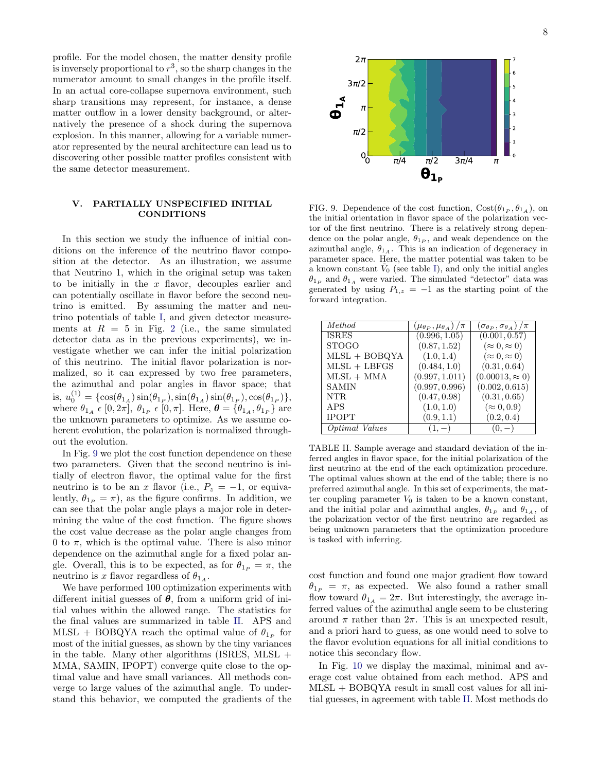profile. For the model chosen, the matter density profile is inversely proportional to  $r^3$ , so the sharp changes in the numerator amount to small changes in the profile itself. In an actual core-collapse supernova environment, such sharp transitions may represent, for instance, a dense matter outflow in a lower density background, or alternatively the presence of a shock during the supernova explosion. In this manner, allowing for a variable numerator represented by the neural architecture can lead us to discovering other possible matter profiles consistent with the same detector measurement.

# <span id="page-7-0"></span>V. PARTIALLY UNSPECIFIED INITIAL CONDITIONS

In this section we study the influence of initial conditions on the inference of the neutrino flavor composition at the detector. As an illustration, we assume that Neutrino 1, which in the original setup was taken to be initially in the  $x$  flavor, decouples earlier and can potentially oscillate in flavor before the second neutrino is emitted. By assuming the matter and neutrino potentials of table [I,](#page-4-1) and given detector measurements at  $R = 5$  in Fig. [2](#page-4-2) (i.e., the same simulated detector data as in the previous experiments), we investigate whether we can infer the initial polarization of this neutrino. The initial flavor polarization is normalized, so it can expressed by two free parameters, the azimuthal and polar angles in flavor space; that is,  $u_0^{(1)} = {\cos(\theta_{1_A})\sin(\theta_{1_P})}, \sin(\theta_{1_A})\sin(\theta_{1_P}), \cos(\theta_{1_P})},$ where  $\theta_{1_A} \in [0, 2\pi], \ \theta_{1_P} \in [0, \pi]$ . Here,  $\boldsymbol{\theta} = \{\theta_{1_A}, \theta_{1_P}\}$  are the unknown parameters to optimize. As we assume coherent evolution, the polarization is normalized throughout the evolution.

In Fig. [9](#page-7-1) we plot the cost function dependence on these two parameters. Given that the second neutrino is initially of electron flavor, the optimal value for the first neutrino is to be an x flavor (i.e.,  $P_z = -1$ , or equivalently,  $\theta_{1_P} = \pi$ , as the figure confirms. In addition, we can see that the polar angle plays a major role in determining the value of the cost function. The figure shows the cost value decrease as the polar angle changes from 0 to  $\pi$ , which is the optimal value. There is also minor dependence on the azimuthal angle for a fixed polar angle. Overall, this is to be expected, as for  $\theta_{1_P} = \pi$ , the neutrino is x flavor regardless of  $\theta_{1_A}$ .

We have performed 100 optimization experiments with different initial guesses of  $\theta$ , from a uniform grid of initial values within the allowed range. The statistics for the final values are summarized in table [II.](#page-7-2) APS and MLSL + BOBQYA reach the optimal value of  $\theta_{1_P}$  for most of the initial guesses, as shown by the tiny variances in the table. Many other algorithms (ISRES, MLSL  $+$ MMA, SAMIN, IPOPT) converge quite close to the optimal value and have small variances. All methods converge to large values of the azimuthal angle. To understand this behavior, we computed the gradients of the



<span id="page-7-1"></span>FIG. 9. Dependence of the cost function,  $Cost(\theta_{1_P}, \theta_{1_A})$ , on the initial orientation in flavor space of the polarization vector of the first neutrino. There is a relatively strong dependence on the polar angle,  $\theta_{1P}$ , and weak dependence on the azimuthal angle,  $\theta_{1_A}$ . This is an indication of degeneracy in parameter space. Here, the matter potential was taken to be a known constant  $\tilde{V}_0$  (see table [I\)](#page-4-1), and only the initial angles  $\theta_{1_P}$  and  $\theta_{1_A}$  were varied. The simulated "detector" data was generated by using  $P_{1,z} = -1$  as the starting point of the forward integration.

| Method          | $(\mu_{\theta_P}, \mu_{\theta_A})/\pi$ | $(\sigma_{\theta_P},\sigma_{\theta_A})/\pi$ |
|-----------------|----------------------------------------|---------------------------------------------|
| <b>ISRES</b>    | (0.996, 1.05)                          | (0.001, 0.57)                               |
| <b>STOGO</b>    | (0.87, 1.52)                           | $(\approx 0, \approx 0)$                    |
| $MLSL + BOBQYA$ | (1.0, 1.4)                             | $(\approx 0, \approx 0)$                    |
| $MLSL + LBFGS$  | (0.484, 1.0)                           | (0.31, 0.64)                                |
| $MLSL + MMA$    | (0.997, 1.011)                         | $(0.00013, \approx 0)$                      |
| <b>SAMIN</b>    | (0.997, 0.996)                         | (0.002, 0.615)                              |
| NTR.            | (0.47, 0.98)                           | (0.31, 0.65)                                |
| <b>APS</b>      | (1.0, 1.0)                             | $(\approx 0, 0.9)$                          |
| <b>IPOPT</b>    | (0.9, 1.1)                             | (0.2, 0.4)                                  |
| Optimal Values  | $(1, -)$                               | (O,                                         |

<span id="page-7-2"></span>TABLE II. Sample average and standard deviation of the inferred angles in flavor space, for the initial polarization of the first neutrino at the end of the each optimization procedure. The optimal values shown at the end of the table; there is no preferred azimuthal angle. In this set of experiments, the matter coupling parameter  $V_0$  is taken to be a known constant, and the initial polar and azimuthal angles,  $\theta_{1_P}$  and  $\theta_{1_A}$ , of the polarization vector of the first neutrino are regarded as being unknown parameters that the optimization procedure is tasked with inferring.

cost function and found one major gradient flow toward  $\theta_{1_P} = \pi$ , as expected. We also found a rather small flow toward  $\theta_{1_A} = 2\pi$ . But interestingly, the average inferred values of the azimuthal angle seem to be clustering around  $\pi$  rather than  $2\pi$ . This is an unexpected result, and a priori hard to guess, as one would need to solve to the flavor evolution equations for all initial conditions to notice this secondary flow.

In Fig. [10](#page-8-2) we display the maximal, minimal and average cost value obtained from each method. APS and MLSL + BOBQYA result in small cost values for all initial guesses, in agreement with table [II.](#page-7-2) Most methods do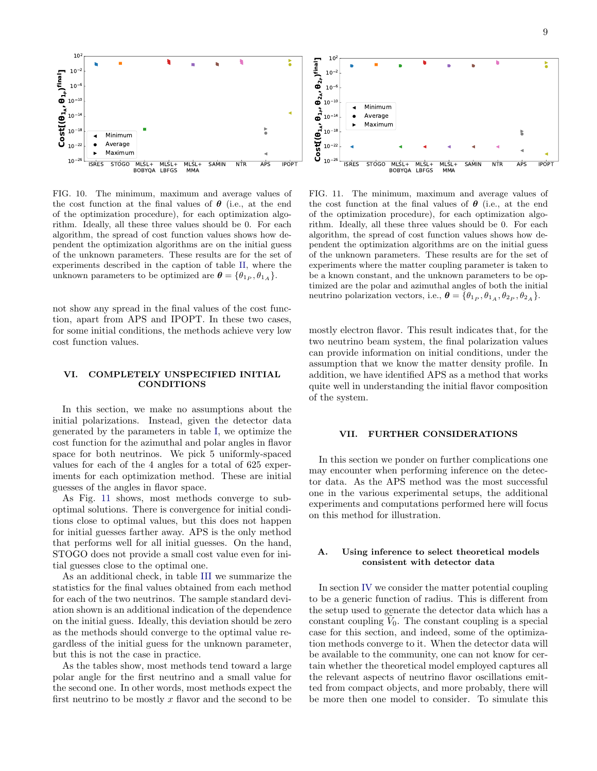

<span id="page-8-2"></span>FIG. 10. The minimum, maximum and average values of the cost function at the final values of  $\theta$  (i.e., at the end of the optimization procedure), for each optimization algorithm. Ideally, all these three values should be 0. For each algorithm, the spread of cost function values shows how dependent the optimization algorithms are on the initial guess of the unknown parameters. These results are for the set of experiments described in the caption of table [II,](#page-7-2) where the unknown parameters to be optimized are  $\boldsymbol{\theta} = {\theta_1}_P, \theta_1$ .

not show any spread in the final values of the cost function, apart from APS and IPOPT. In these two cases, for some initial conditions, the methods achieve very low cost function values.

### <span id="page-8-0"></span>VI. COMPLETELY UNSPECIFIED INITIAL CONDITIONS

In this section, we make no assumptions about the initial polarizations. Instead, given the detector data generated by the parameters in table [I,](#page-4-1) we optimize the cost function for the azimuthal and polar angles in flavor space for both neutrinos. We pick 5 uniformly-spaced values for each of the 4 angles for a total of 625 experiments for each optimization method. These are initial guesses of the angles in flavor space.

As Fig. [11](#page-8-3) shows, most methods converge to suboptimal solutions. There is convergence for initial conditions close to optimal values, but this does not happen for initial guesses farther away. APS is the only method that performs well for all initial guesses. On the hand, STOGO does not provide a small cost value even for initial guesses close to the optimal one.

As an additional check, in table [III](#page-9-1) we summarize the statistics for the final values obtained from each method for each of the two neutrinos. The sample standard deviation shown is an additional indication of the dependence on the initial guess. Ideally, this deviation should be zero as the methods should converge to the optimal value regardless of the initial guess for the unknown parameter, but this is not the case in practice.

As the tables show, most methods tend toward a large polar angle for the first neutrino and a small value for the second one. In other words, most methods expect the first neutrino to be mostly  $x$  flavor and the second to be

<span id="page-8-3"></span>FIG. 11. The minimum, maximum and average values of the cost function at the final values of  $\theta$  (i.e., at the end of the optimization procedure), for each optimization algorithm. Ideally, all these three values should be 0. For each algorithm, the spread of cost function values shows how dependent the optimization algorithms are on the initial guess of the unknown parameters. These results are for the set of experiments where the matter coupling parameter is taken to be a known constant, and the unknown parameters to be optimized are the polar and azimuthal angles of both the initial neutrino polarization vectors, i.e.,  $\boldsymbol{\theta} = {\theta_1}_P, \theta_1_A, \theta_2_P, \theta_2_A$ .

mostly electron flavor. This result indicates that, for the two neutrino beam system, the final polarization values can provide information on initial conditions, under the assumption that we know the matter density profile. In addition, we have identified APS as a method that works quite well in understanding the initial flavor composition of the system.

### <span id="page-8-1"></span>VII. FURTHER CONSIDERATIONS

In this section we ponder on further complications one may encounter when performing inference on the detector data. As the APS method was the most successful one in the various experimental setups, the additional experiments and computations performed here will focus on this method for illustration.

# A. Using inference to select theoretical models consistent with detector data

In section [IV](#page-5-0) we consider the matter potential coupling to be a generic function of radius. This is different from the setup used to generate the detector data which has a constant coupling  $V_0$ . The constant coupling is a special case for this section, and indeed, some of the optimization methods converge to it. When the detector data will be available to the community, one can not know for certain whether the theoretical model employed captures all the relevant aspects of neutrino flavor oscillations emitted from compact objects, and more probably, there will be more then one model to consider. To simulate this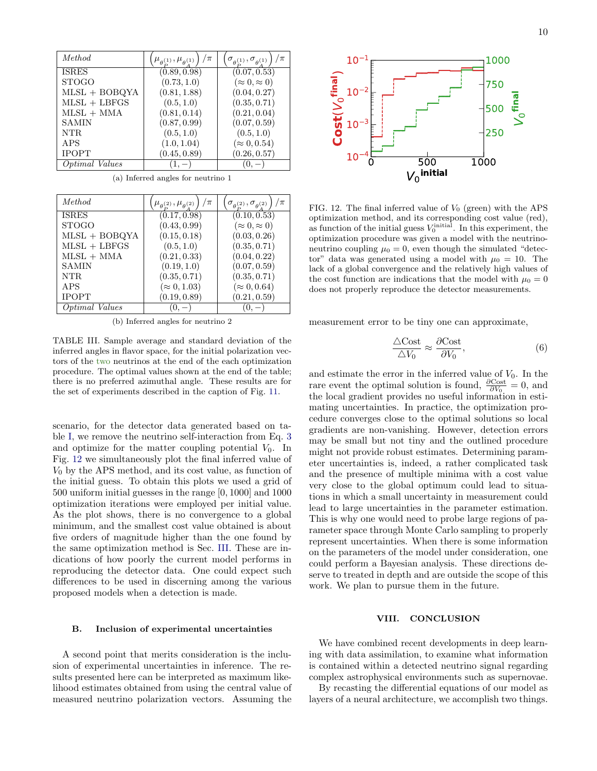| Method          | $\mu_{\theta^{(1)}} , \mu_{\theta^{(1)}}$ | $\sigma_{\theta_{\alpha}^{(1)}}, \sigma_{\theta_{\alpha}^{(1)}}$ |
|-----------------|-------------------------------------------|------------------------------------------------------------------|
| <b>ISRES</b>    | (0.89, 0.98)                              | (0.07, 0.53)                                                     |
| <b>STOGO</b>    | (0.73, 1.0)                               | $(\approx 0, \approx 0)$                                         |
| $MLSL + BOBQYA$ | (0.81, 1.88)                              | (0.04, 0.27)                                                     |
| $MLSL + LBFGS$  | (0.5, 1.0)                                | (0.35, 0.71)                                                     |
| $MLSL + MMA$    | (0.81, 0.14)                              | (0.21, 0.04)                                                     |
| <b>SAMIN</b>    | (0.87, 0.99)                              | (0.07, 0.59)                                                     |
| NTR.            | (0.5, 1.0)                                | (0.5, 1.0)                                                       |
| APS             | (1.0, 1.04)                               | $(\approx 0, 0.54)$                                              |
| <b>IPOPT</b>    | (0.45, 0.89)                              | (0.26, 0.57)                                                     |
| Optimal Values  |                                           |                                                                  |

(a) Inferred angles for neutrino 1

| Method          | /π<br>$\mu_{\theta_{1}^{(2)}}, \mu_{\theta_{1}^{(2)}}$ | $\sigma_{\theta_{\rm D}^{(2)}}, \sigma_{\theta_{\rm A}^{(2)}}$ |
|-----------------|--------------------------------------------------------|----------------------------------------------------------------|
| <b>ISRES</b>    | (0.17, 0.98)                                           | (0.10, 0.53)                                                   |
| <b>STOGO</b>    | (0.43, 0.99)                                           | $(\approx 0, \approx 0)$                                       |
| $MLSL + BOBQYA$ | (0.15, 0.18)                                           | (0.03, 0.26)                                                   |
| $MLSL + LBFGS$  | (0.5, 1.0)                                             | (0.35, 0.71)                                                   |
| $MLSL + MMA$    | (0.21, 0.33)                                           | (0.04, 0.22)                                                   |
| <b>SAMIN</b>    | (0.19, 1.0)                                            | (0.07, 0.59)                                                   |
| NTR.            | (0.35, 0.71)                                           | (0.35, 0.71)                                                   |
| <b>APS</b>      | $(\approx 0, 1.03)$                                    | $(\approx 0, 0.64)$                                            |
| <b>IPOPT</b>    | (0.19, 0.89)                                           | (0.21, 0.59)                                                   |
| Optimal Values  |                                                        |                                                                |

<span id="page-9-1"></span>(b) Inferred angles for neutrino 2

TABLE III. Sample average and standard deviation of the inferred angles in flavor space, for the initial polarization vectors of the two neutrinos at the end of the each optimization procedure. The optimal values shown at the end of the table; there is no preferred azimuthal angle. These results are for the set of experiments described in the caption of Fig. [11.](#page-8-3)

scenario, for the detector data generated based on table [I,](#page-4-1) we remove the neutrino self-interaction from Eq. [3](#page-3-0) and optimize for the matter coupling potential  $V_0$ . In Fig. [12](#page-9-2) we simultaneously plot the final inferred value of  $V_0$  by the APS method, and its cost value, as function of the initial guess. To obtain this plots we used a grid of 500 uniform initial guesses in the range [0, 1000] and 1000 optimization iterations were employed per initial value. As the plot shows, there is no convergence to a global minimum, and the smallest cost value obtained is about five orders of magnitude higher than the one found by the same optimization method is Sec. [III.](#page-4-0) These are indications of how poorly the current model performs in reproducing the detector data. One could expect such differences to be used in discerning among the various proposed models when a detection is made.

### B. Inclusion of experimental uncertainties

A second point that merits consideration is the inclusion of experimental uncertainties in inference. The results presented here can be interpreted as maximum likelihood estimates obtained from using the central value of measured neutrino polarization vectors. Assuming the



<span id="page-9-2"></span>FIG. 12. The final inferred value of  $V_0$  (green) with the APS optimization method, and its corresponding cost value (red), as function of the initial guess  $V_0^{\text{initial}}$ . In this experiment, the optimization procedure was given a model with the neutrinoneutrino coupling  $\mu_0 = 0$ , even though the simulated "detector" data was generated using a model with  $\mu_0 = 10$ . The lack of a global convergence and the relatively high values of the cost function are indications that the model with  $\mu_0 = 0$ does not properly reproduce the detector measurements.

measurement error to be tiny one can approximate,

$$
\frac{\triangle \text{Cost}}{\triangle V_0} \approx \frac{\partial \text{Cost}}{\partial V_0},\tag{6}
$$

and estimate the error in the inferred value of  $V_0$ . In the rare event the optimal solution is found,  $\frac{\partial \text{Cost}}{\partial V_0} = 0$ , and the local gradient provides no useful information in estimating uncertainties. In practice, the optimization procedure converges close to the optimal solutions so local gradients are non-vanishing. However, detection errors may be small but not tiny and the outlined procedure might not provide robust estimates. Determining parameter uncertainties is, indeed, a rather complicated task and the presence of multiple minima with a cost value very close to the global optimum could lead to situations in which a small uncertainty in measurement could lead to large uncertainties in the parameter estimation. This is why one would need to probe large regions of parameter space through Monte Carlo sampling to properly represent uncertainties. When there is some information on the parameters of the model under consideration, one could perform a Bayesian analysis. These directions deserve to treated in depth and are outside the scope of this work. We plan to pursue them in the future.

#### <span id="page-9-0"></span>VIII. CONCLUSION

We have combined recent developments in deep learning with data assimilation, to examine what information is contained within a detected neutrino signal regarding complex astrophysical environments such as supernovae.

By recasting the differential equations of our model as layers of a neural architecture, we accomplish two things.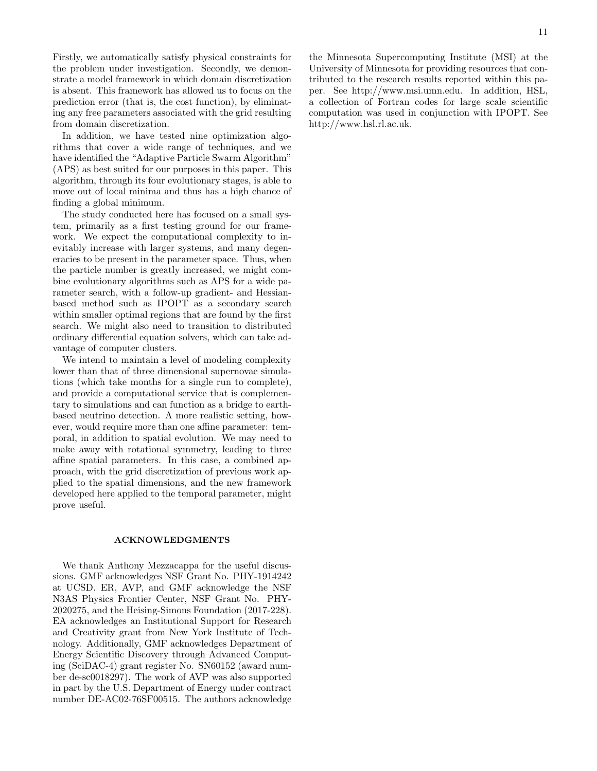11

Firstly, we automatically satisfy physical constraints for the problem under investigation. Secondly, we demonstrate a model framework in which domain discretization is absent. This framework has allowed us to focus on the prediction error (that is, the cost function), by eliminating any free parameters associated with the grid resulting from domain discretization.

In addition, we have tested nine optimization algorithms that cover a wide range of techniques, and we have identified the "Adaptive Particle Swarm Algorithm" (APS) as best suited for our purposes in this paper. This algorithm, through its four evolutionary stages, is able to move out of local minima and thus has a high chance of finding a global minimum.

The study conducted here has focused on a small system, primarily as a first testing ground for our framework. We expect the computational complexity to inevitably increase with larger systems, and many degeneracies to be present in the parameter space. Thus, when the particle number is greatly increased, we might combine evolutionary algorithms such as APS for a wide parameter search, with a follow-up gradient- and Hessianbased method such as IPOPT as a secondary search within smaller optimal regions that are found by the first search. We might also need to transition to distributed ordinary differential equation solvers, which can take advantage of computer clusters.

We intend to maintain a level of modeling complexity lower than that of three dimensional supernovae simulations (which take months for a single run to complete), and provide a computational service that is complementary to simulations and can function as a bridge to earthbased neutrino detection. A more realistic setting, however, would require more than one affine parameter: temporal, in addition to spatial evolution. We may need to make away with rotational symmetry, leading to three affine spatial parameters. In this case, a combined approach, with the grid discretization of previous work applied to the spatial dimensions, and the new framework developed here applied to the temporal parameter, might prove useful.

#### ACKNOWLEDGMENTS

We thank Anthony Mezzacappa for the useful discussions. GMF acknowledges NSF Grant No. PHY-1914242 at UCSD. ER, AVP, and GMF acknowledge the NSF N3AS Physics Frontier Center, NSF Grant No. PHY-2020275, and the Heising-Simons Foundation (2017-228). EA acknowledges an Institutional Support for Research and Creativity grant from New York Institute of Technology. Additionally, GMF acknowledges Department of Energy Scientific Discovery through Advanced Computing (SciDAC-4) grant register No. SN60152 (award number de-sc0018297). The work of AVP was also supported in part by the U.S. Department of Energy under contract number DE-AC02-76SF00515. The authors acknowledge

the Minnesota Supercomputing Institute (MSI) at the University of Minnesota for providing resources that contributed to the research results reported within this paper. See http://www.msi.umn.edu. In addition, HSL, a collection of Fortran codes for large scale scientific computation was used in conjunction with IPOPT. See http://www.hsl.rl.ac.uk.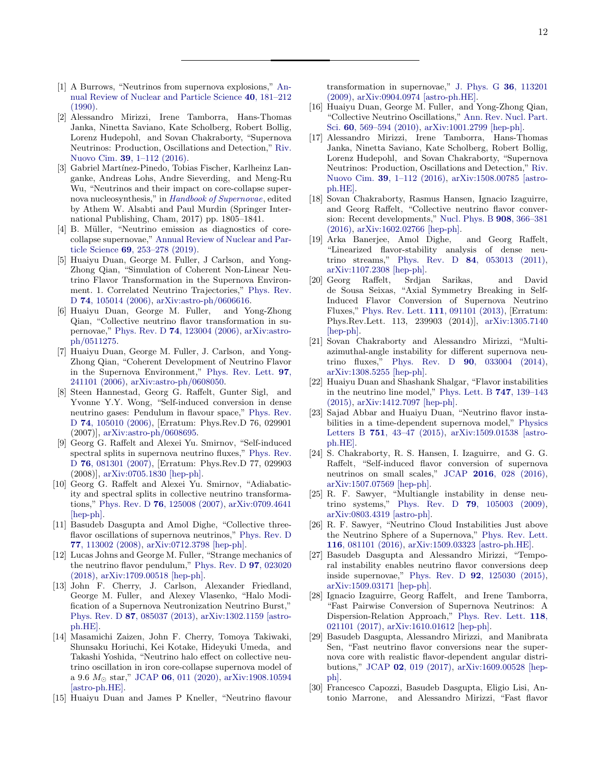- <span id="page-11-0"></span>[1] A Burrows, "Neutrinos from supernova explosions," [An](http://dx.doi.org/ 10.1146/annurev.ns.40.120190.001145)[nual Review of Nuclear and Particle Science](http://dx.doi.org/ 10.1146/annurev.ns.40.120190.001145) 40, 181–212 [\(1990\).](http://dx.doi.org/ 10.1146/annurev.ns.40.120190.001145)
- [2] Alessandro Mirizzi, Irene Tamborra, Hans-Thomas Janka, Ninetta Saviano, Kate Scholberg, Robert Bollig, Lorenz Hudepohl, and Sovan Chakraborty, "Supernova Neutrinos: Production, Oscillations and Detection," [Riv.](http://dx.doi.org/10.1393/ncr/i2016-10120-8) Nuovo Cim. 39[, 1–112 \(2016\).](http://dx.doi.org/10.1393/ncr/i2016-10120-8)
- [3] Gabriel Martínez-Pinedo, Tobias Fischer, Karlheinz Langanke, Andreas Lohs, Andre Sieverding, and Meng-Ru Wu, "Neutrinos and their impact on core-collapse supernova nucleosynthesis," in [Handbook of Supernovae](http://dx.doi.org/ 10.1007/978-3-319-21846-5_78), edited by Athem W. Alsabti and Paul Murdin (Springer International Publishing, Cham, 2017) pp. 1805–1841.
- <span id="page-11-1"></span>[4] B. Müller, "Neutrino emission as diagnostics of corecollapse supernovae," [Annual Review of Nuclear and Par](http://dx.doi.org/ 10.1146/annurev-nucl-101918-023434)ticle Science 69[, 253–278 \(2019\).](http://dx.doi.org/ 10.1146/annurev-nucl-101918-023434)
- <span id="page-11-2"></span>[5] Huaiyu Duan, George M. Fuller, J Carlson, and Yong-Zhong Qian, "Simulation of Coherent Non-Linear Neutrino Flavor Transformation in the Supernova Environment. 1. Correlated Neutrino Trajectories," [Phys. Rev.](http://dx.doi.org/ 10.1103/PhysRevD.74.105014) D 74[, 105014 \(2006\),](http://dx.doi.org/ 10.1103/PhysRevD.74.105014) [arXiv:astro-ph/0606616.](http://arxiv.org/abs/astro-ph/0606616)
- [6] Huaiyu Duan, George M. Fuller, and Yong-Zhong Qian, "Collective neutrino flavor transformation in supernovae," Phys. Rev. D 74[, 123004 \(2006\),](http://dx.doi.org/ 10.1103/PhysRevD.74.123004) [arXiv:astro](http://arxiv.org/abs/astro-ph/0511275)[ph/0511275.](http://arxiv.org/abs/astro-ph/0511275)
- [7] Huaiyu Duan, George M. Fuller, J. Carlson, and Yong-Zhong Qian, "Coherent Development of Neutrino Flavor in the Supernova Environment," [Phys. Rev. Lett.](http://dx.doi.org/ 10.1103/PhysRevLett.97.241101) 97, [241101 \(2006\),](http://dx.doi.org/ 10.1103/PhysRevLett.97.241101) [arXiv:astro-ph/0608050.](http://arxiv.org/abs/astro-ph/0608050)
- [8] Steen Hannestad, Georg G. Raffelt, Gunter Sigl, and Yvonne Y.Y. Wong, "Self-induced conversion in dense neutrino gases: Pendulum in flavour space," [Phys. Rev.](http://dx.doi.org/ 10.1103/PhysRevD.74.105010) D 74[, 105010 \(2006\),](http://dx.doi.org/ 10.1103/PhysRevD.74.105010) [Erratum: Phys.Rev.D 76, 029901 (2007)], [arXiv:astro-ph/0608695.](http://arxiv.org/abs/astro-ph/0608695)
- [9] Georg G. Raffelt and Alexei Yu. Smirnov, "Self-induced spectral splits in supernova neutrino fluxes," [Phys. Rev.](http://dx.doi.org/10.1103/PhysRevD.76.081301) D 76[, 081301 \(2007\),](http://dx.doi.org/10.1103/PhysRevD.76.081301) [Erratum: Phys.Rev.D 77, 029903 (2008)], [arXiv:0705.1830 \[hep-ph\].](http://arxiv.org/abs/0705.1830)
- [10] Georg G. Raffelt and Alexei Yu. Smirnov, "Adiabaticity and spectral splits in collective neutrino transformations," Phys. Rev. D 76[, 125008 \(2007\),](http://dx.doi.org/10.1103/PhysRevD.76.125008) [arXiv:0709.4641](http://arxiv.org/abs/0709.4641) [\[hep-ph\].](http://arxiv.org/abs/0709.4641)
- [11] Basudeb Dasgupta and Amol Dighe, "Collective threeflavor oscillations of supernova neutrinos," [Phys. Rev. D](http://dx.doi.org/ 10.1103/PhysRevD.77.113002) 77[, 113002 \(2008\),](http://dx.doi.org/ 10.1103/PhysRevD.77.113002) [arXiv:0712.3798 \[hep-ph\].](http://arxiv.org/abs/0712.3798)
- [12] Lucas Johns and George M. Fuller, "Strange mechanics of the neutrino flavor pendulum," [Phys. Rev. D](http://dx.doi.org/ 10.1103/PhysRevD.97.023020) 97, 023020 [\(2018\),](http://dx.doi.org/ 10.1103/PhysRevD.97.023020) [arXiv:1709.00518 \[hep-ph\].](http://arxiv.org/abs/1709.00518)
- [13] John F. Cherry, J. Carlson, Alexander Friedland, George M. Fuller, and Alexey Vlasenko, "Halo Modification of a Supernova Neutronization Neutrino Burst," Phys. Rev. D 87[, 085037 \(2013\),](http://dx.doi.org/ 10.1103/PhysRevD.87.085037) [arXiv:1302.1159 \[astro](http://arxiv.org/abs/1302.1159)[ph.HE\].](http://arxiv.org/abs/1302.1159)
- [14] Masamichi Zaizen, John F. Cherry, Tomoya Takiwaki, Shunsaku Horiuchi, Kei Kotake, Hideyuki Umeda, and Takashi Yoshida, "Neutrino halo effect on collective neutrino oscillation in iron core-collapse supernova model of a 9.6  $M_{\odot}$  star," JCAP 06[, 011 \(2020\),](http://dx.doi.org/ 10.1088/1475-7516/2020/06/011) [arXiv:1908.10594](http://arxiv.org/abs/1908.10594) [\[astro-ph.HE\].](http://arxiv.org/abs/1908.10594)
- [15] Huaiyu Duan and James P Kneller, "Neutrino flavour

transformation in supernovae," [J. Phys. G](http://dx.doi.org/ 10.1088/0954-3899/36/11/113201) 36, 113201 [\(2009\),](http://dx.doi.org/ 10.1088/0954-3899/36/11/113201) [arXiv:0904.0974 \[astro-ph.HE\].](http://arxiv.org/abs/0904.0974)

- [16] Huaiyu Duan, George M. Fuller, and Yong-Zhong Qian, "Collective Neutrino Oscillations," [Ann. Rev. Nucl. Part.](http://dx.doi.org/ 10.1146/annurev.nucl.012809.104524) Sci. 60[, 569–594 \(2010\),](http://dx.doi.org/ 10.1146/annurev.nucl.012809.104524) [arXiv:1001.2799 \[hep-ph\].](http://arxiv.org/abs/1001.2799)
- [17] Alessandro Mirizzi, Irene Tamborra, Hans-Thomas Janka, Ninetta Saviano, Kate Scholberg, Robert Bollig, Lorenz Hudepohl, and Sovan Chakraborty, "Supernova Neutrinos: Production, Oscillations and Detection," [Riv.](http://dx.doi.org/10.1393/ncr/i2016-10120-8) Nuovo Cim. 39[, 1–112 \(2016\),](http://dx.doi.org/10.1393/ncr/i2016-10120-8) [arXiv:1508.00785 \[astro](http://arxiv.org/abs/1508.00785)[ph.HE\].](http://arxiv.org/abs/1508.00785)
- <span id="page-11-3"></span>[18] Sovan Chakraborty, Rasmus Hansen, Ignacio Izaguirre, and Georg Raffelt, "Collective neutrino flavor conversion: Recent developments," [Nucl. Phys. B](http://dx.doi.org/ 10.1016/j.nuclphysb.2016.02.012) 908, 366–381 [\(2016\),](http://dx.doi.org/ 10.1016/j.nuclphysb.2016.02.012) [arXiv:1602.02766 \[hep-ph\].](http://arxiv.org/abs/1602.02766)
- <span id="page-11-4"></span>[19] Arka Banerjee, Amol Dighe, and Georg Raffelt, "Linearized flavor-stability analysis of dense neutrino streams," Phys. Rev. D 84[, 053013 \(2011\),](http://dx.doi.org/ 10.1103/PhysRevD.84.053013) [arXiv:1107.2308 \[hep-ph\].](http://arxiv.org/abs/1107.2308)
- [20] Georg Raffelt, Srdjan Sarikas, and David de Sousa Seixas, "Axial Symmetry Breaking in Self-Induced Flavor Conversion of Supernova Neutrino Fluxes," [Phys. Rev. Lett.](http://dx.doi.org/10.1103/PhysRevLett.111.091101) 111, 091101 (2013), [Erratum: Phys.Rev.Lett. 113, 239903 (2014)], [arXiv:1305.7140](http://arxiv.org/abs/1305.7140) [\[hep-ph\].](http://arxiv.org/abs/1305.7140)
- [21] Sovan Chakraborty and Alessandro Mirizzi, "Multiazimuthal-angle instability for different supernova neutrino fluxes," Phys. Rev. D 90[, 033004 \(2014\),](http://dx.doi.org/10.1103/PhysRevD.90.033004) [arXiv:1308.5255 \[hep-ph\].](http://arxiv.org/abs/1308.5255)
- [22] Huaiyu Duan and Shashank Shalgar, "Flavor instabilities in the neutrino line model," [Phys. Lett. B](http://dx.doi.org/ 10.1016/j.physletb.2015.05.057) 747, 139–143 [\(2015\),](http://dx.doi.org/ 10.1016/j.physletb.2015.05.057) [arXiv:1412.7097 \[hep-ph\].](http://arxiv.org/abs/1412.7097)
- [23] Sajad Abbar and Huaiyu Duan, "Neutrino flavor instabilities in a time-dependent supernova model," [Physics](http://dx.doi.org/ 10.1016/j.physletb.2015.10.019) Letters B 751[, 43–47 \(2015\),](http://dx.doi.org/ 10.1016/j.physletb.2015.10.019) [arXiv:1509.01538 \[astro](http://arxiv.org/abs/1509.01538)[ph.HE\].](http://arxiv.org/abs/1509.01538)
- [24] S. Chakraborty, R. S. Hansen, I. Izaguirre, and G. G. Raffelt, "Self-induced flavor conversion of supernova neutrinos on small scales," JCAP 2016[, 028 \(2016\),](http://dx.doi.org/10.1088/1475-7516/2016/01/028) [arXiv:1507.07569 \[hep-ph\].](http://arxiv.org/abs/1507.07569)
- [25] R. F. Sawyer, "Multiangle instability in dense neutrino systems," Phys. Rev. D 79[, 105003 \(2009\),](http://dx.doi.org/ 10.1103/PhysRevD.79.105003) [arXiv:0803.4319 \[astro-ph\].](http://arxiv.org/abs/0803.4319)
- [26] R. F. Sawyer, "Neutrino Cloud Instabilities Just above the Neutrino Sphere of a Supernova," [Phys. Rev. Lett.](http://dx.doi.org/10.1103/PhysRevLett.116.081101) 116[, 081101 \(2016\),](http://dx.doi.org/10.1103/PhysRevLett.116.081101) [arXiv:1509.03323 \[astro-ph.HE\].](http://arxiv.org/abs/1509.03323)
- [27] Basudeb Dasgupta and Alessandro Mirizzi, "Temporal instability enables neutrino flavor conversions deep inside supernovae," Phys. Rev. D 92[, 125030 \(2015\),](http://dx.doi.org/10.1103/PhysRevD.92.125030) [arXiv:1509.03171 \[hep-ph\].](http://arxiv.org/abs/1509.03171)
- [28] Ignacio Izaguirre, Georg Raffelt, and Irene Tamborra, "Fast Pairwise Conversion of Supernova Neutrinos: A Dispersion-Relation Approach," [Phys. Rev. Lett.](http://dx.doi.org/10.1103/PhysRevLett.118.021101) 118, [021101 \(2017\),](http://dx.doi.org/10.1103/PhysRevLett.118.021101) [arXiv:1610.01612 \[hep-ph\].](http://arxiv.org/abs/1610.01612)
- [29] Basudeb Dasgupta, Alessandro Mirizzi, and Manibrata Sen, "Fast neutrino flavor conversions near the supernova core with realistic flavor-dependent angular distributions," JCAP 02[, 019 \(2017\),](http://dx.doi.org/10.1088/1475-7516/2017/02/019) [arXiv:1609.00528 \[hep](http://arxiv.org/abs/1609.00528)[ph\].](http://arxiv.org/abs/1609.00528)
- [30] Francesco Capozzi, Basudeb Dasgupta, Eligio Lisi, Antonio Marrone, and Alessandro Mirizzi, "Fast flavor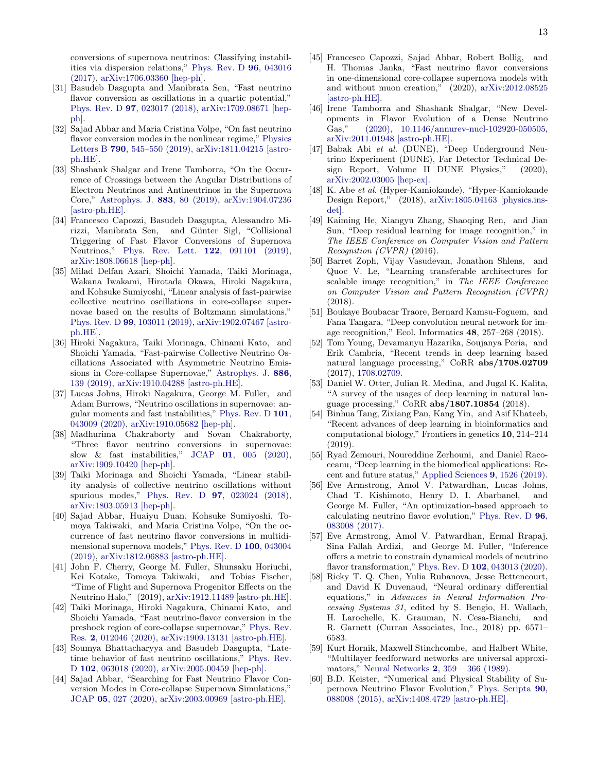conversions of supernova neutrinos: Classifying instabilities via dispersion relations," [Phys. Rev. D](http://dx.doi.org/ 10.1103/PhysRevD.96.043016) 96, 043016 [\(2017\),](http://dx.doi.org/ 10.1103/PhysRevD.96.043016) [arXiv:1706.03360 \[hep-ph\].](http://arxiv.org/abs/1706.03360)

- [31] Basudeb Dasgupta and Manibrata Sen, "Fast neutrino flavor conversion as oscillations in a quartic potential," Phys. Rev. D 97[, 023017 \(2018\),](http://dx.doi.org/10.1103/PhysRevD.97.023017) [arXiv:1709.08671 \[hep](http://arxiv.org/abs/1709.08671)[ph\].](http://arxiv.org/abs/1709.08671)
- [32] Sajad Abbar and Maria Cristina Volpe, "On fast neutrino flavor conversion modes in the nonlinear regime," [Physics](http://dx.doi.org/10.1016/j.physletb.2019.02.002) Letters B 790[, 545–550 \(2019\),](http://dx.doi.org/10.1016/j.physletb.2019.02.002) [arXiv:1811.04215 \[astro](http://arxiv.org/abs/1811.04215)[ph.HE\].](http://arxiv.org/abs/1811.04215)
- [33] Shashank Shalgar and Irene Tamborra, "On the Occurrence of Crossings between the Angular Distributions of Electron Neutrinos and Antineutrinos in the Supernova Core," [Astrophys. J.](http://dx.doi.org/10.3847/1538-4357/ab38ba) 883, 80 (2019), [arXiv:1904.07236](http://arxiv.org/abs/1904.07236) [\[astro-ph.HE\].](http://arxiv.org/abs/1904.07236)
- [34] Francesco Capozzi, Basudeb Dasgupta, Alessandro Mirizzi, Manibrata Sen, and Günter Sigl, "Collisional Triggering of Fast Flavor Conversions of Supernova Neutrinos," [Phys. Rev. Lett.](http://dx.doi.org/10.1103/PhysRevLett.122.091101) 122, 091101 (2019), [arXiv:1808.06618 \[hep-ph\].](http://arxiv.org/abs/1808.06618)
- [35] Milad Delfan Azari, Shoichi Yamada, Taiki Morinaga, Wakana Iwakami, Hirotada Okawa, Hiroki Nagakura, and Kohsuke Sumiyoshi, "Linear analysis of fast-pairwise collective neutrino oscillations in core-collapse supernovae based on the results of Boltzmann simulations," Phys. Rev. D 99[, 103011 \(2019\),](http://dx.doi.org/10.1103/PhysRevD.99.103011) [arXiv:1902.07467 \[astro](http://arxiv.org/abs/1902.07467)[ph.HE\].](http://arxiv.org/abs/1902.07467)
- [36] Hiroki Nagakura, Taiki Morinaga, Chinami Kato, and Shoichi Yamada, "Fast-pairwise Collective Neutrino Oscillations Associated with Asymmetric Neutrino Emissions in Core-collapse Supernovae," [Astrophys. J.](http://dx.doi.org/ 10.3847/1538-4357/ab4cf2) 886, [139 \(2019\),](http://dx.doi.org/ 10.3847/1538-4357/ab4cf2) [arXiv:1910.04288 \[astro-ph.HE\].](http://arxiv.org/abs/1910.04288)
- [37] Lucas Johns, Hiroki Nagakura, George M. Fuller, and Adam Burrows, "Neutrino oscillations in supernovae: angular moments and fast instabilities," [Phys. Rev. D](http://dx.doi.org/10.1103/PhysRevD.101.043009) 101, [043009 \(2020\),](http://dx.doi.org/10.1103/PhysRevD.101.043009) [arXiv:1910.05682 \[hep-ph\].](http://arxiv.org/abs/1910.05682)
- [38] Madhurima Chakraborty and Sovan Chakraborty, "Three flavor neutrino conversions in supernovae: slow & fast instabilities," JCAP  $01$ ,  $005$   $(2020)$ , [arXiv:1909.10420 \[hep-ph\].](http://arxiv.org/abs/1909.10420)
- [39] Taiki Morinaga and Shoichi Yamada, "Linear stability analysis of collective neutrino oscillations without spurious modes," Phys. Rev. D 97[, 023024 \(2018\),](http://dx.doi.org/10.1103/PhysRevD.97.023024) [arXiv:1803.05913 \[hep-ph\].](http://arxiv.org/abs/1803.05913)
- [40] Sajad Abbar, Huaiyu Duan, Kohsuke Sumiyoshi, Tomoya Takiwaki, and Maria Cristina Volpe, "On the occurrence of fast neutrino flavor conversions in multidimensional supernova models," [Phys. Rev. D](http://dx.doi.org/10.1103/PhysRevD.100.043004) 100, 043004 [\(2019\),](http://dx.doi.org/10.1103/PhysRevD.100.043004) [arXiv:1812.06883 \[astro-ph.HE\].](http://arxiv.org/abs/1812.06883)
- [41] John F. Cherry, George M. Fuller, Shunsaku Horiuchi, Kei Kotake, Tomoya Takiwaki, and Tobias Fischer, "Time of Flight and Supernova Progenitor Effects on the Neutrino Halo," (2019), [arXiv:1912.11489 \[astro-ph.HE\].](http://arxiv.org/abs/1912.11489)
- [42] Taiki Morinaga, Hiroki Nagakura, Chinami Kato, and Shoichi Yamada, "Fast neutrino-flavor conversion in the preshock region of core-collapse supernovae," [Phys. Rev.](http://dx.doi.org/10.1103/PhysRevResearch.2.012046) Res. 2[, 012046 \(2020\),](http://dx.doi.org/10.1103/PhysRevResearch.2.012046) [arXiv:1909.13131 \[astro-ph.HE\].](http://arxiv.org/abs/1909.13131)
- [43] Soumya Bhattacharyya and Basudeb Dasgupta, "Latetime behavior of fast neutrino oscillations," [Phys. Rev.](http://dx.doi.org/ 10.1103/PhysRevD.102.063018) D 102[, 063018 \(2020\),](http://dx.doi.org/ 10.1103/PhysRevD.102.063018) [arXiv:2005.00459 \[hep-ph\].](http://arxiv.org/abs/2005.00459)
- [44] Sajad Abbar, "Searching for Fast Neutrino Flavor Conversion Modes in Core-collapse Supernova Simulations," JCAP 05[, 027 \(2020\),](http://dx.doi.org/10.1088/1475-7516/2020/05/027) [arXiv:2003.00969 \[astro-ph.HE\].](http://arxiv.org/abs/2003.00969)
- <span id="page-12-0"></span>[45] Francesco Capozzi, Sajad Abbar, Robert Bollig, and H. Thomas Janka, "Fast neutrino flavor conversions in one-dimensional core-collapse supernova models with and without muon creation," (2020), [arXiv:2012.08525](http://arxiv.org/abs/2012.08525) [\[astro-ph.HE\].](http://arxiv.org/abs/2012.08525)
- <span id="page-12-1"></span>[46] Irene Tamborra and Shashank Shalgar, "New Developments in Flavor Evolution of a Dense Neutrino Gas," [\(2020\), 10.1146/annurev-nucl-102920-050505,](http://dx.doi.org/10.1146/annurev-nucl-102920-050505) [arXiv:2011.01948 \[astro-ph.HE\].](http://arxiv.org/abs/2011.01948)
- <span id="page-12-2"></span>[47] Babak Abi et al. (DUNE), "Deep Underground Neutrino Experiment (DUNE), Far Detector Technical Design Report, Volume II DUNE Physics," (2020), [arXiv:2002.03005 \[hep-ex\].](http://arxiv.org/abs/2002.03005)
- <span id="page-12-3"></span>[48] K. Abe et al. (Hyper-Kamiokande), "Hyper-Kamiokande Design Report," (2018), [arXiv:1805.04163 \[physics.ins](http://arxiv.org/abs/1805.04163)[det\].](http://arxiv.org/abs/1805.04163)
- <span id="page-12-4"></span>[49] Kaiming He, Xiangyu Zhang, Shaoqing Ren, and Jian Sun, "Deep residual learning for image recognition," in The IEEE Conference on Computer Vision and Pattern Recognition (CVPR) (2016).
- [50] Barret Zoph, Vijay Vasudevan, Jonathon Shlens, and Quoc V. Le, "Learning transferable architectures for scalable image recognition," in The IEEE Conference on Computer Vision and Pattern Recognition (CVPR) (2018).
- <span id="page-12-5"></span>[51] Boukaye Boubacar Traore, Bernard Kamsu-Foguem, and Fana Tangara, "Deep convolution neural network for image recognition," Ecol. Informatics 48, 257–268 (2018).
- <span id="page-12-6"></span>[52] Tom Young, Devamanyu Hazarika, Soujanya Poria, and Erik Cambria, "Recent trends in deep learning based natural language processing," CoRR abs/1708.02709 (2017), [1708.02709.](http://arxiv.org/abs/1708.02709)
- <span id="page-12-7"></span>[53] Daniel W. Otter, Julian R. Medina, and Jugal K. Kalita, "A survey of the usages of deep learning in natural language processing," CoRR abs/1807.10854 (2018).
- <span id="page-12-8"></span>[54] Binhua Tang, Zixiang Pan, Kang Yin, and Asif Khateeb, "Recent advances of deep learning in bioinformatics and computational biology," Frontiers in genetics 10, 214–214 (2019).
- <span id="page-12-9"></span>[55] Ryad Zemouri, Noureddine Zerhouni, and Daniel Racoceanu, "Deep learning in the biomedical applications: Recent and future status," [Applied Sciences](http://dx.doi.org/ 10.3390/app9081526) 9, 1526 (2019).
- <span id="page-12-10"></span>[56] Eve Armstrong, Amol V. Patwardhan, Lucas Johns, Chad T. Kishimoto, Henry D. I. Abarbanel, and George M. Fuller, "An optimization-based approach to calculating neutrino flavor evolution," [Phys. Rev. D](http://dx.doi.org/10.1103/PhysRevD.96.083008) 96, [083008 \(2017\).](http://dx.doi.org/10.1103/PhysRevD.96.083008)
- <span id="page-12-11"></span>[57] Eve Armstrong, Amol V. Patwardhan, Ermal Rrapaj, Sina Fallah Ardizi, and George M. Fuller, "Inference offers a metric to constrain dynamical models of neutrino flavor transformation," Phys. Rev. D 102[, 043013 \(2020\).](http://dx.doi.org/10.1103/PhysRevD.102.043013)
- <span id="page-12-12"></span>[58] Ricky T. Q. Chen, Yulia Rubanova, Jesse Bettencourt, and David K Duvenaud, "Neural ordinary differential equations," in Advances in Neural Information Processing Systems 31, edited by S. Bengio, H. Wallach, H. Larochelle, K. Grauman, N. Cesa-Bianchi, and R. Garnett (Curran Associates, Inc., 2018) pp. 6571– 6583.
- <span id="page-12-13"></span>[59] Kurt Hornik, Maxwell Stinchcombe, and Halbert White, "Multilayer feedforward networks are universal approximators," Neural Networks 2[, 359 – 366 \(1989\).](http://dx.doi.org/https://doi.org/10.1016/0893-6080(89)90020-8)
- <span id="page-12-14"></span>[60] B.D. Keister, "Numerical and Physical Stability of Supernova Neutrino Flavor Evolution," [Phys. Scripta](http://dx.doi.org/10.1088/0031-8949/90/8/088008) 90, [088008 \(2015\),](http://dx.doi.org/10.1088/0031-8949/90/8/088008) [arXiv:1408.4729 \[astro-ph.HE\].](http://arxiv.org/abs/1408.4729)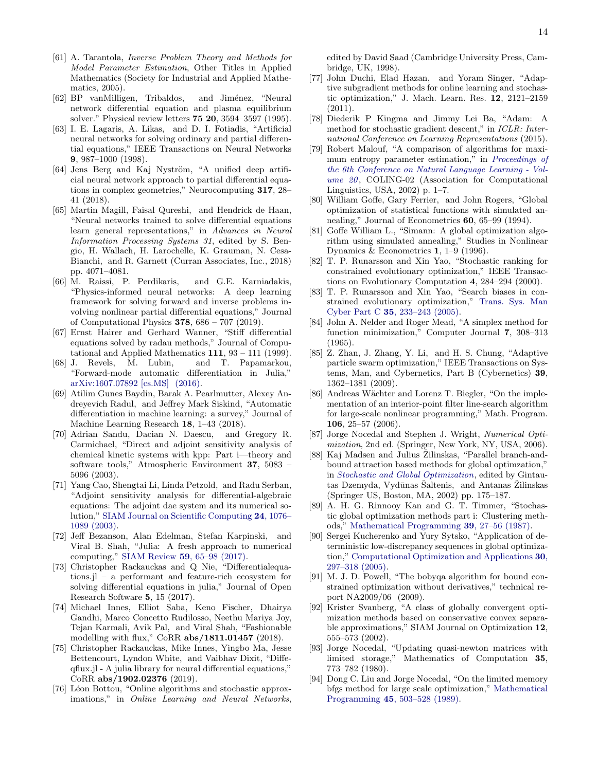- <span id="page-13-0"></span>[61] A. Tarantola, Inverse Problem Theory and Methods for Model Parameter Estimation, Other Titles in Applied Mathematics (Society for Industrial and Applied Mathematics, 2005).
- <span id="page-13-1"></span>[62] BP vanMilligen, Tribaldos, and Jiménez, "Neural network differential equation and plasma equilibrium solver." Physical review letters 75 20, 3594–3597 (1995).
- [63] I. E. Lagaris, A. Likas, and D. I. Fotiadis, "Artificial neural networks for solving ordinary and partial differential equations," IEEE Transactions on Neural Networks 9, 987–1000 (1998).
- [64] Jens Berg and Kaj Nyström, "A unified deep artificial neural network approach to partial differential equations in complex geometries," Neurocomputing 317, 28– 41 (2018).
- [65] Martin Magill, Faisal Qureshi, and Hendrick de Haan, "Neural networks trained to solve differential equations learn general representations," in Advances in Neural Information Processing Systems 31, edited by S. Bengio, H. Wallach, H. Larochelle, K. Grauman, N. Cesa-Bianchi, and R. Garnett (Curran Associates, Inc., 2018) pp. 4071–4081.
- <span id="page-13-2"></span>[66] M. Raissi, P. Perdikaris, and G.E. Karniadakis, "Physics-informed neural networks: A deep learning framework for solving forward and inverse problems involving nonlinear partial differential equations," Journal of Computational Physics 378, 686 – 707 (2019).
- <span id="page-13-3"></span>[67] Ernst Hairer and Gerhard Wanner, "Stiff differential equations solved by radau methods," Journal of Computational and Applied Mathematics  $111$ ,  $93 - 111$  (1999).
- <span id="page-13-4"></span>[68] J. Revels, M. Lubin, and T. Papamarkou, "Forward-mode automatic differentiation in Julia," [arXiv:1607.07892 \[cs.MS\] \(2016\).](https://arxiv.org/abs/1607.07892)
- <span id="page-13-5"></span>[69] Atilim Gunes Baydin, Barak A. Pearlmutter, Alexey Andreyevich Radul, and Jeffrey Mark Siskind, "Automatic differentiation in machine learning: a survey," Journal of Machine Learning Research 18, 1–43 (2018).
- <span id="page-13-6"></span>[70] Adrian Sandu, Dacian N. Daescu, and Gregory R. Carmichael, "Direct and adjoint sensitivity analysis of chemical kinetic systems with kpp: Part i—theory and software tools," Atmospheric Environment 37, 5083 – 5096 (2003).
- <span id="page-13-7"></span>[71] Yang Cao, Shengtai Li, Linda Petzold, and Radu Serban, "Adjoint sensitivity analysis for differential-algebraic equations: The adjoint dae system and its numerical solution," [SIAM Journal on Scientific Computing](http://dx.doi.org/10.1137/S1064827501380630) 24, 1076– [1089 \(2003\).](http://dx.doi.org/10.1137/S1064827501380630)
- <span id="page-13-8"></span>[72] Jeff Bezanson, Alan Edelman, Stefan Karpinski, and Viral B. Shah, "Julia: A fresh approach to numerical computing," SIAM Review 59[, 65–98 \(2017\).](http://dx.doi.org/ 10.1137/141000671)
- <span id="page-13-9"></span>[73] Christopher Rackauckas and Q Nie, "Differentialequations.jl – a performant and feature-rich ecosystem for solving differential equations in julia," Journal of Open Research Software 5, 15 (2017).
- [74] Michael Innes, Elliot Saba, Keno Fischer, Dhairya Gandhi, Marco Concetto Rudilosso, Neethu Mariya Joy, Tejan Karmali, Avik Pal, and Viral Shah, "Fashionable modelling with flux," CoRR abs/1811.01457 (2018).
- <span id="page-13-10"></span>[75] Christopher Rackauckas, Mike Innes, Yingbo Ma, Jesse Bettencourt, Lyndon White, and Vaibhav Dixit, "Diffeqflux.jl - A julia library for neural differential equations," CoRR abs/1902.02376 (2019).
- <span id="page-13-11"></span>[76] Léon Bottou, "Online algorithms and stochastic approximations," in *Online Learning and Neural Networks*,

edited by David Saad (Cambridge University Press, Cambridge, UK, 1998).

- <span id="page-13-12"></span>[77] John Duchi, Elad Hazan, and Yoram Singer, "Adaptive subgradient methods for online learning and stochastic optimization," J. Mach. Learn. Res. 12, 2121–2159 (2011).
- <span id="page-13-13"></span>[78] Diederik P Kingma and Jimmy Lei Ba, "Adam: A method for stochastic gradient descent," in ICLR: International Conference on Learning Representations (2015).
- <span id="page-13-14"></span>[79] Robert Malouf, "A comparison of algorithms for maximum entropy parameter estimation," in [Proceedings of](http://dx.doi.org/ 10.3115/1118853.1118871) [the 6th Conference on Natural Language Learning - Vol](http://dx.doi.org/ 10.3115/1118853.1118871)ume  $20$ , COLING-02 (Association for Computational Linguistics, USA, 2002) p. 1–7.
- <span id="page-13-15"></span>[80] William Goffe, Gary Ferrier, and John Rogers, "Global optimization of statistical functions with simulated annealing," Journal of Econometrics 60, 65–99 (1994).
- <span id="page-13-16"></span>[81] Goffe William L., "Simann: A global optimization algorithm using simulated annealing," Studies in Nonlinear Dynamics & Econometrics 1, 1–9 (1996).
- <span id="page-13-17"></span>[82] T. P. Runarsson and Xin Yao, "Stochastic ranking for constrained evolutionary optimization," IEEE Transactions on Evolutionary Computation 4, 284–294 (2000).
- <span id="page-13-18"></span>[83] T. P. Runarsson and Xin Yao, "Search biases in constrained evolutionary optimization," [Trans. Sys. Man](http://dx.doi.org/ 10.1109/TSMCC.2004.841906) Cyber Part C 35[, 233–243 \(2005\).](http://dx.doi.org/ 10.1109/TSMCC.2004.841906)
- <span id="page-13-19"></span>[84] John A. Nelder and Roger Mead, "A simplex method for function minimization," Computer Journal 7, 308–313 (1965).
- <span id="page-13-20"></span>[85] Z. Zhan, J. Zhang, Y. Li, and H. S. Chung, "Adaptive particle swarm optimization," IEEE Transactions on Systems, Man, and Cybernetics, Part B (Cybernetics) 39, 1362–1381 (2009).
- <span id="page-13-21"></span>[86] Andreas Wächter and Lorenz T. Biegler, "On the implementation of an interior-point filter line-search algorithm for large-scale nonlinear programming," Math. Program. 106, 25–57 (2006).
- <span id="page-13-22"></span>[87] Jorge Nocedal and Stephen J. Wright, Numerical Optimization, 2nd ed. (Springer, New York, NY, USA, 2006).
- <span id="page-13-23"></span>[88] Kaj Madsen and Julius Žilinskas, "Parallel branch-andbound attraction based methods for global optimzation," in [Stochastic and Global Optimization](http://dx.doi.org/ 10.1007/0-306-47648-7_10), edited by Gintautas Dzemyda, Vydūnas Šaltenis, and Antanas Žilinskas (Springer US, Boston, MA, 2002) pp. 175–187.
- <span id="page-13-24"></span>[89] A. H. G. Rinnooy Kan and G. T. Timmer, "Stochastic global optimization methods part i: Clustering methods," [Mathematical Programming](http://dx.doi.org/10.1007/BF02592070) 39, 27–56 (1987).
- <span id="page-13-25"></span>[90] Sergei Kucherenko and Yury Sytsko, "Application of deterministic low-discrepancy sequences in global optimization," [Computational Optimization and Applications](http://dx.doi.org/10.1007/s10589-005-4615-1) 30, [297–318 \(2005\).](http://dx.doi.org/10.1007/s10589-005-4615-1)
- <span id="page-13-26"></span>[91] M. J. D. Powell, "The bobyqa algorithm for bound constrained optimization without derivatives," technical report NA2009/06 (2009).
- <span id="page-13-27"></span>[92] Krister Svanberg, "A class of globally convergent optimization methods based on conservative convex separable approximations," SIAM Journal on Optimization 12, 555–573 (2002).
- <span id="page-13-28"></span>[93] Jorge Nocedal, "Updating quasi-newton matrices with limited storage," Mathematics of Computation 35, 773–782 (1980).
- <span id="page-13-29"></span>[94] Dong C. Liu and Jorge Nocedal, "On the limited memory bfgs method for large scale optimization," [Mathematical](http://dx.doi.org/ 10.1007/BF01589116) Programming 45[, 503–528 \(1989\).](http://dx.doi.org/ 10.1007/BF01589116)